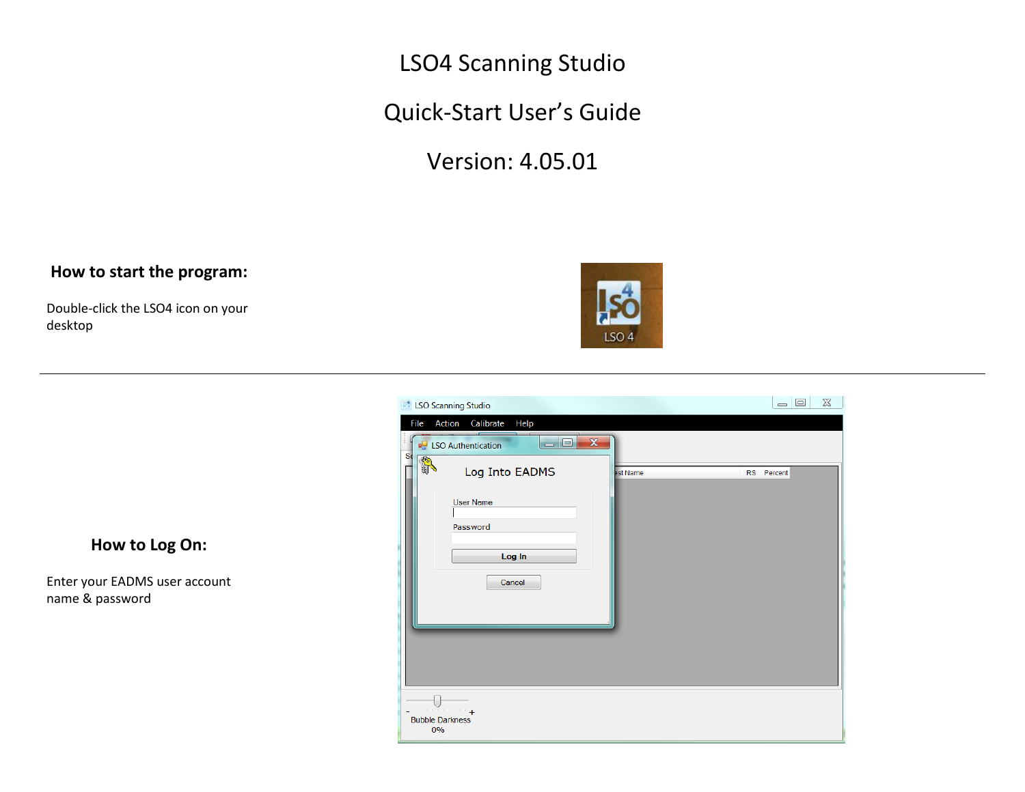LSO4 Scanning Studio

Quick-Start User's Guide

Version: 4.05.01

**LSO Scanning Studio** 

File Action Calibrate Help

#### **How to start the program:**

Double-click the LSO4 icon on your desktop





 $\begin{array}{c|c|c|c|c|c} \hline \multicolumn{3}{c|}{\mathbf{I}} & \multicolumn{3}{c|}{\mathbf{I}} & \multicolumn{3}{c|}{\mathbf{I}} & \multicolumn{3}{c|}{\mathbf{I}} & \multicolumn{3}{c|}{\mathbf{I}} & \multicolumn{3}{c|}{\mathbf{I}} & \multicolumn{3}{c|}{\mathbf{I}} & \multicolumn{3}{c|}{\mathbf{I}} & \multicolumn{3}{c|}{\mathbf{I}} & \multicolumn{3}{c|}{\mathbf{I}} & \multicolumn{3}{c|}{\mathbf{I}} & \multicolumn{3}{c|}{\mathbf$ 

#### **How to Log On:**

Enter your EADMS user account name & password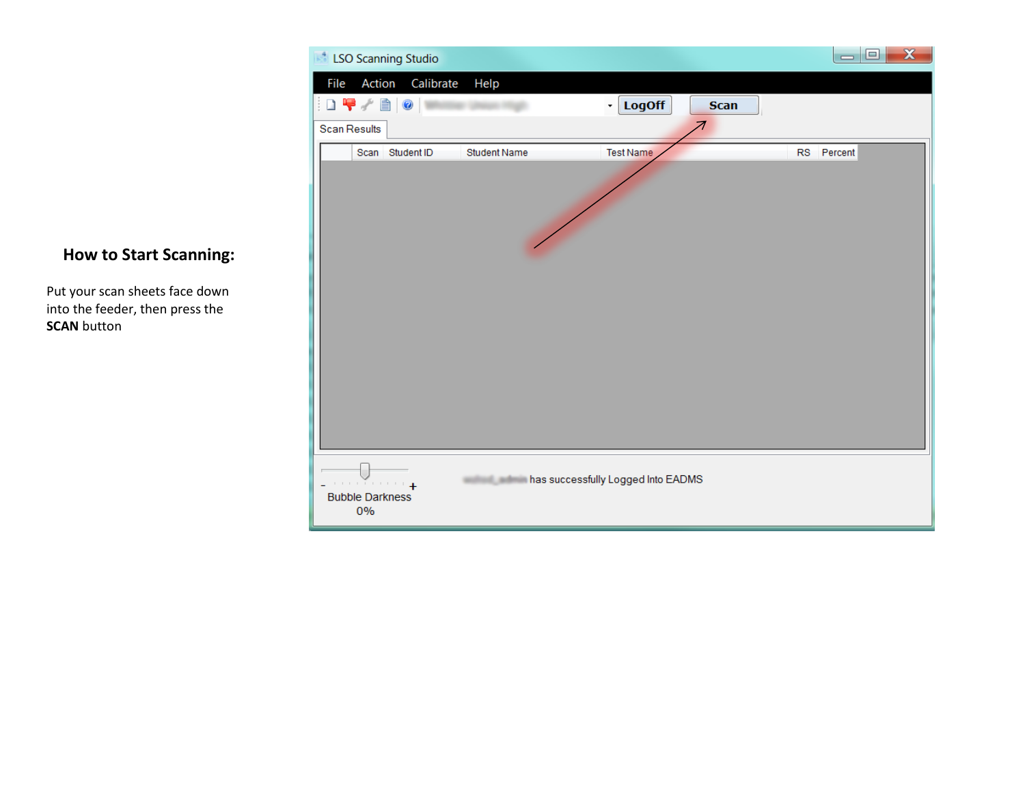

### **How to Start Scanning:**

Put your scan sheets face down into the feeder, then press the **SCAN** button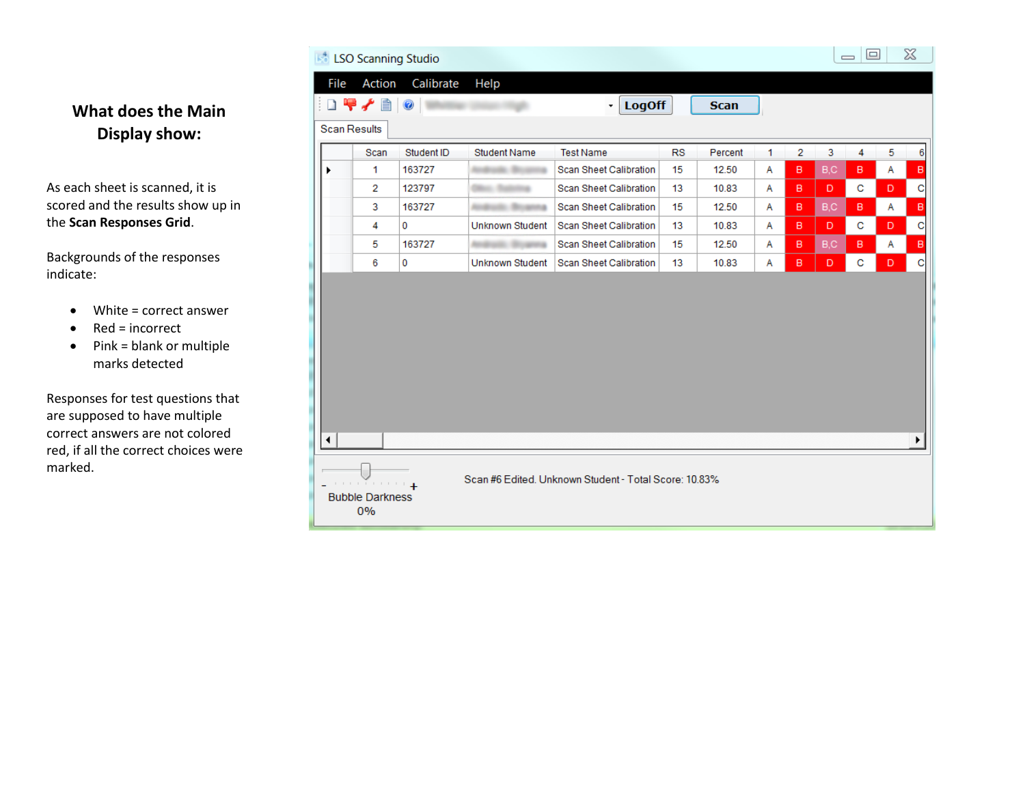|   | <b>Scan Results</b> |            |                     |                               |           |         |   |   |     |   |
|---|---------------------|------------|---------------------|-------------------------------|-----------|---------|---|---|-----|---|
|   | Scan                | Student ID | <b>Student Name</b> | <b>Test Name</b>              | <b>RS</b> | Percent | 1 | 2 | 3   | 4 |
| ٠ | 1                   | 163727     |                     | Scan Sheet Calibration        | 15        | 12.50   | Α | в | B,C | в |
|   | 2                   | 123797     |                     | Scan Sheet Calibration        | 13        | 10.83   | Α | в | D.  | c |
|   | 3                   | 163727     |                     | <b>Scan Sheet Calibration</b> | 15        | 12.50   | Α | B | B,C | в |
|   | 4                   | 0          | Unknown Student     | Scan Sheet Calibration        | 13        | 10.83   | Α | B | D   | с |
|   | 5                   | 163727     |                     | Scan Sheet Calibration        | 15        | 12.50   | Α | в | B,C | в |
|   | 6                   | 0          | Unknown Student     | Scan Sheet Calibration        | 13        | 10.83   | A | B | D.  | C |
|   |                     |            |                     |                               |           |         |   |   |     |   |

# **What does the Main Display show:**

As each sheet is scanned, it is scored and the results show up in the **Scan Responses Grid**.

Backgrounds of the responses indicate:

- White = correct answer
- $\bullet$  Red = incorrect
- $\bullet$  Pink = blank or multiple marks detected

Responses for test questions that are supposed to have multiple correct answers are not colored red, if all the correct choices were marked.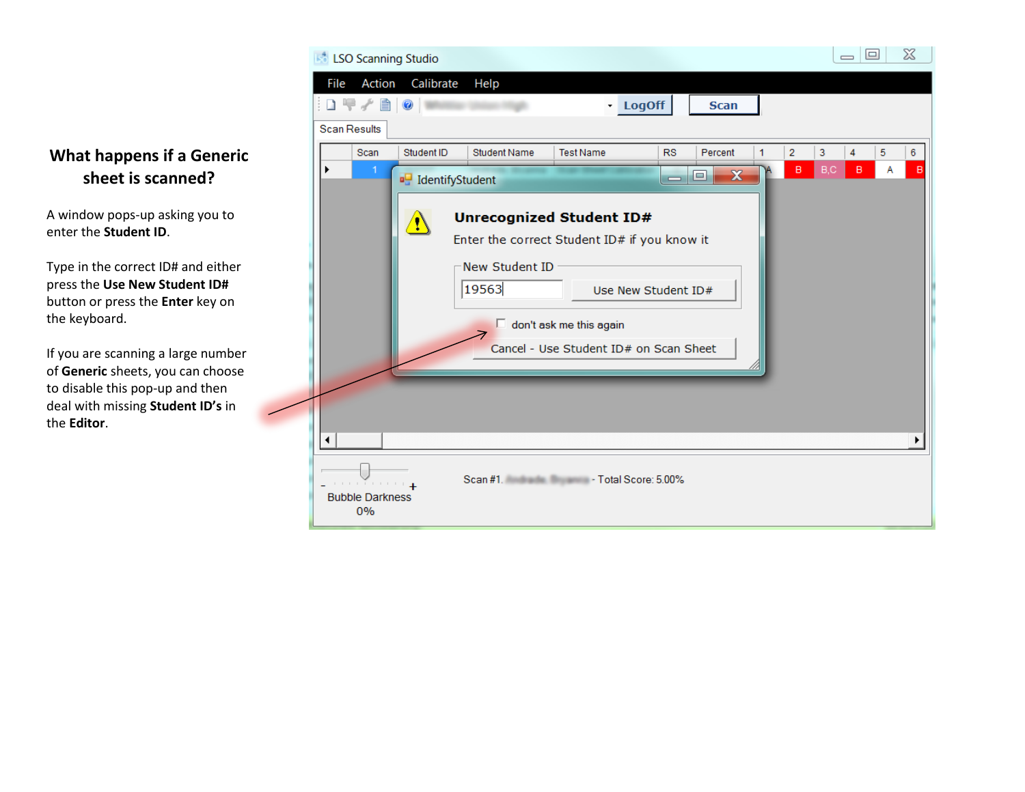

## **What happens if a Generic sheet is scanned?**

A window pops-up asking you to enter the **Student ID**.

Type in the correct ID# and either press the **Use New Student ID#** button or press the **Enter** key on the keyboard.

If you are scanning a large number of **Generic** sheets, you can choose to disable this pop-up and then deal with missing **Student ID's** in the **Editor**.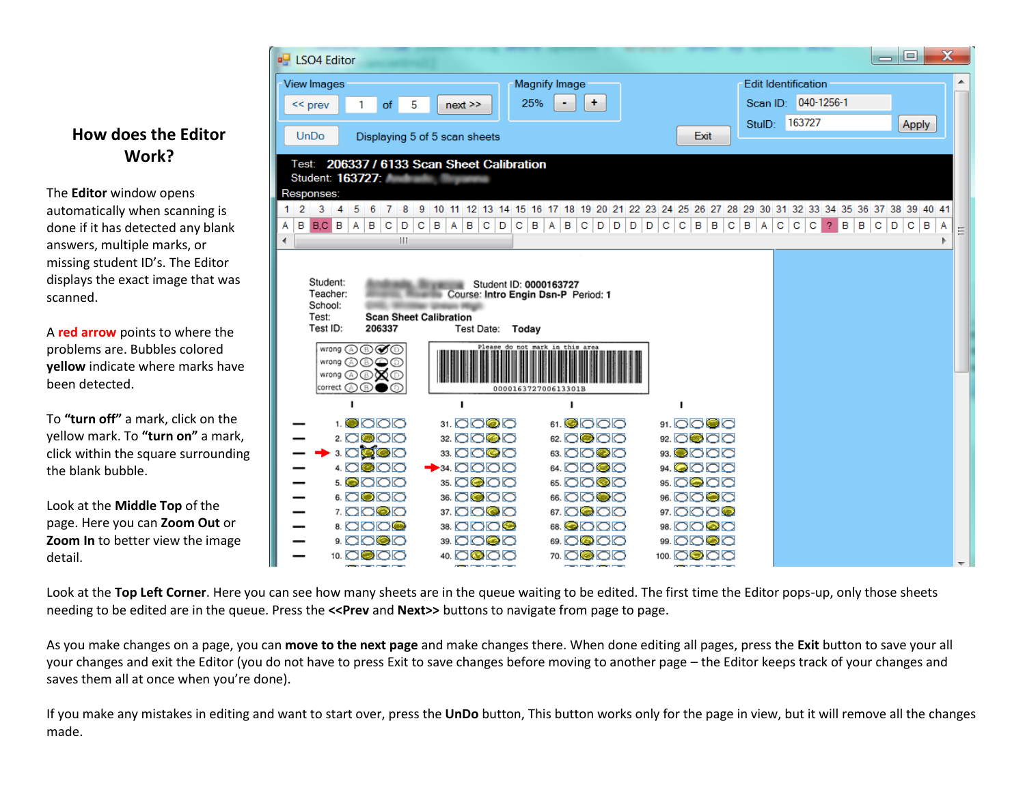#### **How does the Editor Work?**

The **Editor** window opens automatically when scanning is done if it has detected any blank answers, multiple marks, or missing student ID's. The Editor displays the exact image that was scanned.

A **red arrow** points to where the problems are. Bubbles colored **yellow** indicate where marks have been detected.

To **"turn off"** a mark, click on the yellow mark. To **"turn on"** a mark, click within the square surrounding the blank bubble.

Look at the **Middle Top** of the page. Here you can **Zoom Out** or **Zoom In** to better view the image detail.

| <b>B</b> LSO4 Editor                                                 |                                                                                                      |                                 |                                                          |          |                            |            |        | $\equiv$ | o          |   | $\mathbf x$ |
|----------------------------------------------------------------------|------------------------------------------------------------------------------------------------------|---------------------------------|----------------------------------------------------------|----------|----------------------------|------------|--------|----------|------------|---|-------------|
| <b>View Images</b>                                                   |                                                                                                      | <b>Magnify Image</b>            |                                                          |          | <b>Edit Identification</b> |            |        |          |            |   |             |
| 1<br>of<br>$<<$ prev                                                 | 5<br>$next$ $>$                                                                                      | 25%<br>÷.                       |                                                          | Scan ID: |                            | 040-1256-1 |        |          |            |   |             |
|                                                                      |                                                                                                      |                                 |                                                          | StulD:   | 163727                     |            |        |          | Apply      |   |             |
| <b>UnDo</b>                                                          | Displaying 5 of 5 scan sheets                                                                        |                                 | Exit                                                     |          |                            |            |        |          |            |   |             |
|                                                                      | Test: 206337 / 6133 Scan Sheet Calibration                                                           |                                 |                                                          |          |                            |            |        |          |            |   |             |
| Student: 163727; Andrew March 1999                                   |                                                                                                      |                                 |                                                          |          |                            |            |        |          |            |   |             |
| Responses:<br>-2<br>3.<br>-5<br>$\overline{4}$<br>-6<br>-7<br>8<br>1 | 9<br>10 11 12 13 14 15 16 17 18 19 20 21 22 23 24 25 26 27 28 29 30 31 32 33 34 35 36 37 38 39 40 41 |                                 |                                                          |          |                            |            |        |          |            |   |             |
| в<br>B.C B<br>B<br>Α<br>C.<br>D<br>А                                 | $C \mid B$<br>B<br>A<br>$C$ $D$                                                                      | $C$ $B$ $A$                     | $B   C   D   D   D   D   C   C   B   B  $<br>$ {\bf C} $ | BA       | C<br>$\mathbf{C}$          | c<br>2.    | в<br>B | $C$ $D$  | $C \mid B$ | Α |             |
| Ш<br>∢                                                               |                                                                                                      |                                 |                                                          |          |                            |            |        |          |            |   |             |
|                                                                      |                                                                                                      |                                 |                                                          |          |                            |            |        |          |            |   |             |
|                                                                      |                                                                                                      |                                 |                                                          |          |                            |            |        |          |            |   |             |
| Student:<br>Teacher:                                                 | Student ID: 0000163727<br>Course: Intro Engin Dsn-P Period: 1                                        |                                 |                                                          |          |                            |            |        |          |            |   |             |
|                                                                      |                                                                                                      |                                 |                                                          |          |                            |            |        |          |            |   |             |
| School:                                                              |                                                                                                      |                                 |                                                          |          |                            |            |        |          |            |   |             |
| Test:                                                                | <b>Scan Sheet Calibration</b>                                                                        |                                 |                                                          |          |                            |            |        |          |            |   |             |
| Test ID:<br>206337                                                   | Today<br>Test Date:                                                                                  |                                 |                                                          |          |                            |            |        |          |            |   |             |
| wrong A ® Ø ®                                                        |                                                                                                      | Please do not mark in this area |                                                          |          |                            |            |        |          |            |   |             |
| wrong <b>A B O</b><br>wrong ⓒⓒ <b>x</b>                              |                                                                                                      |                                 |                                                          |          |                            |            |        |          |            |   |             |
| correct $\circledR \circledR$                                        |                                                                                                      | 000016372700613301B             |                                                          |          |                            |            |        |          |            |   |             |
| п                                                                    | п                                                                                                    |                                 | ٠                                                        |          |                            |            |        |          |            |   |             |
| 1. <b>@</b> 0 0 0                                                    | 31. OO@O                                                                                             | 61.©OOO                         | 91. OO @ O                                               |          |                            |            |        |          |            |   |             |
| 2. 0000                                                              | 32. OO@O                                                                                             | 62. OC 00                       | 92. OO OO                                                |          |                            |            |        |          |            |   |             |
| 3. OCOO                                                              | 33. OO©O                                                                                             | 63. OO@O                        | 93. <b>@</b> OOO                                         |          |                            |            |        |          |            |   |             |
| 4. O®OO                                                              | $\rightarrow$ 34. OOOO                                                                               | 64. OO©O                        | 94. <b>Q</b> OOO                                         |          |                            |            |        |          |            |   |             |
| <b>5. QOOO</b>                                                       | 35. OC OO                                                                                            | 65. OO©O                        | 95. OQ OQ                                                |          |                            |            |        |          |            |   |             |
| 6. OOOO<br>7. OO©O                                                   | 36. OC OO<br>37. OO©O                                                                                | 66. OO@O<br>67. OC 00           | 96. OO©O<br>97. OOO©                                     |          |                            |            |        |          |            |   |             |
| 8. <b>OOO®</b>                                                       | 38. COO <b>O</b>                                                                                     | 68.©OOO                         | 98. OO©O                                                 |          |                            |            |        |          |            |   |             |
| 9. aogo<br>10. 0000                                                  | 39. OO©O<br>40. OC 00                                                                                | 69. OC 00<br>70. OC 00          | 99. OO©O<br>100. 00 00                                   |          |                            |            |        |          |            |   |             |

Look at the **Top Left Corner**. Here you can see how many sheets are in the queue waiting to be edited. The first time the Editor pops-up, only those sheets needing to be edited are in the queue. Press the **<<Prev** and **Next>>** buttons to navigate from page to page.

As you make changes on a page, you can **move to the next page** and make changes there. When done editing all pages, press the **Exit** button to save your all your changes and exit the Editor (you do not have to press Exit to save changes before moving to another page – the Editor keeps track of your changes and saves them all at once when you're done).

If you make any mistakes in editing and want to start over, press the **UnDo** button, This button works only for the page in view, but it will remove all the changes made.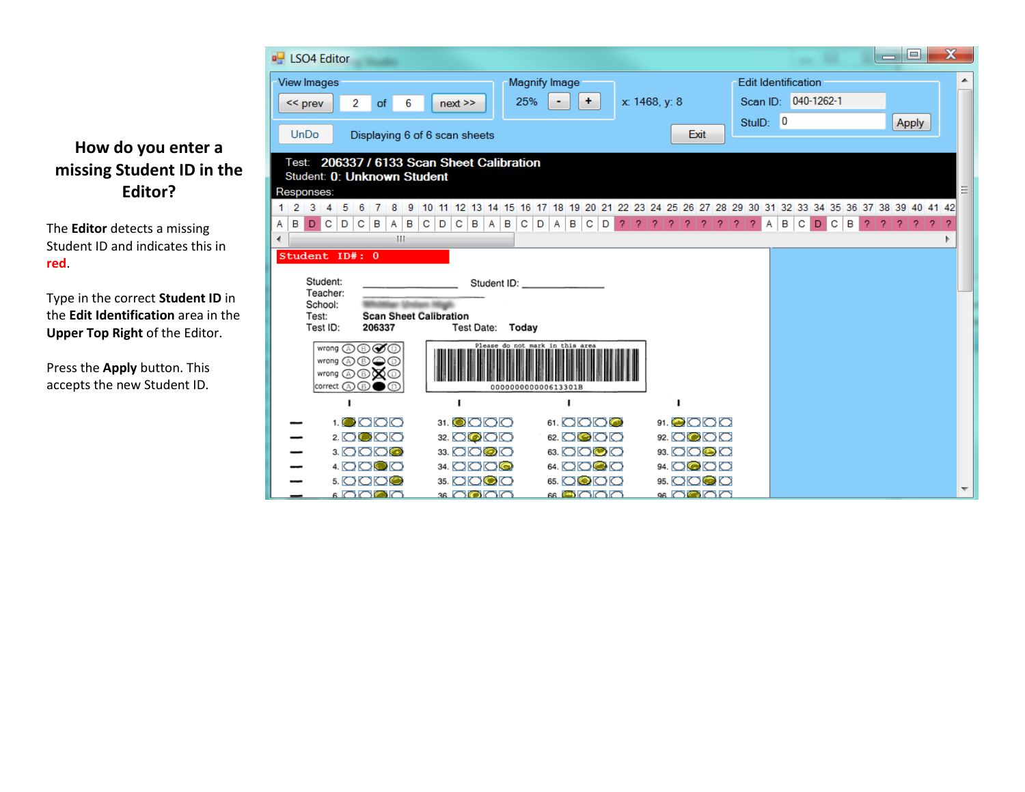# **How do you enter a missing Student ID in the Editor?**

The **Editor** detects a missing Student ID and indicates this in **red**.

Type in the correct **Student ID** in the **Edit Identification** area in the **Upper Top Right** of the Editor.

Press the **Apply** button. This accepts the new Student ID.

| <b>u</b> LSO4 Editor                                                                           |                                                                                                    |                                 |                                             |                                      |             |                            |        | $\equiv$ | ▣                     | $\mathbf x$ |  |
|------------------------------------------------------------------------------------------------|----------------------------------------------------------------------------------------------------|---------------------------------|---------------------------------------------|--------------------------------------|-------------|----------------------------|--------|----------|-----------------------|-------------|--|
| <b>View Images</b>                                                                             |                                                                                                    | <b>Magnify Image</b>            |                                             |                                      |             | <b>Edit Identification</b> |        |          |                       |             |  |
| 2<br>$<<$ prev<br>of<br>6                                                                      | 25%<br>$next$ $>$                                                                                  | ٠.                              | x: 1468, y: 8                               |                                      |             | Scan ID: 040-1262-1        |        |          |                       |             |  |
|                                                                                                |                                                                                                    |                                 |                                             |                                      | StulD: 0    |                            |        |          | Apply                 |             |  |
| <b>UnDo</b><br>Displaying 6 of 6 scan sheets                                                   |                                                                                                    |                                 |                                             | Exit                                 |             |                            |        |          |                       |             |  |
| Test: 206337 / 6133 Scan Sheet Calibration                                                     |                                                                                                    |                                 |                                             |                                      |             |                            |        |          |                       |             |  |
| Student: 0: Unknown Student                                                                    |                                                                                                    |                                 |                                             |                                      |             |                            |        |          |                       |             |  |
| Responses:<br>$1\quad2$<br>3<br>5<br>6<br>$\overline{\phantom{a}}$<br>9<br>$\overline{4}$<br>7 | 10 11 12 13 14 15 16 17 18 19 20 21 22 23 24 25 26 27 28 29 30 31 32 33 34 35 36 37 38 39 40 41 42 |                                 |                                             |                                      |             |                            |        |          |                       |             |  |
| $A \mid B$<br>B<br>l C.<br>D<br> C <br>в<br>$\mathsf{A}$<br>D                                  | $C$ $D$<br> C B <br>$A$ $B$                                                                        | $C$ $D$<br>$A$ $B$ $C$<br>D     | -2.<br>2<br>$\mathcal{P}$<br>$\overline{2}$ | $\overline{2}$<br>$\mathcal{P}$<br>2 | 2<br>2<br>A | B<br>C<br>D                | c<br>в | 2<br>2   | 2 <sub>1</sub><br>-2. |             |  |
| ш                                                                                              |                                                                                                    |                                 |                                             |                                      |             |                            |        |          |                       |             |  |
| Student ID#: 0                                                                                 |                                                                                                    |                                 |                                             |                                      |             |                            |        |          |                       |             |  |
| Student:                                                                                       |                                                                                                    | Student ID: Student ID:         |                                             |                                      |             |                            |        |          |                       |             |  |
| Teacher:<br>School:                                                                            |                                                                                                    |                                 |                                             |                                      |             |                            |        |          |                       |             |  |
| <b>Scan Sheet Calibration</b><br>Test:                                                         |                                                                                                    |                                 |                                             |                                      |             |                            |        |          |                       |             |  |
| Test ID:<br>206337                                                                             | Today<br>Test Date:                                                                                |                                 |                                             |                                      |             |                            |        |          |                       |             |  |
|                                                                                                |                                                                                                    | Please do not mark in this area |                                             |                                      |             |                            |        |          |                       |             |  |
| wrong <b>A O</b> $\bigcirc$ O<br>wrong @ <b>@ X</b> @                                          |                                                                                                    |                                 |                                             |                                      |             |                            |        |          |                       |             |  |
| correct $\mathbb{Q} \otimes$                                                                   |                                                                                                    | 000000000000613301B             |                                             |                                      |             |                            |        |          |                       |             |  |
|                                                                                                |                                                                                                    |                                 |                                             |                                      |             |                            |        |          |                       |             |  |
| 1. <b>O</b> O O O                                                                              | 31. <b>O</b> OO                                                                                    | 61. 0000                        |                                             | 91.@OOO                              |             |                            |        |          |                       |             |  |
| 2. OC OO                                                                                       | 32. OQOO                                                                                           | 62. 0000                        |                                             | 92. OOOO                             |             |                            |        |          |                       |             |  |
| 3. OOO©                                                                                        | 33. OO@O                                                                                           | 63. OO©O                        |                                             | 93. OO© O                            |             |                            |        |          |                       |             |  |
| 4. OO© O                                                                                       | 34. OOO©                                                                                           | 64. OO@O                        |                                             | 94. OC OC                            |             |                            |        |          |                       |             |  |
| 5. 0000                                                                                        | 35. OO©O                                                                                           | 65. OC OO                       |                                             | 95. OOOO                             |             |                            |        |          |                       |             |  |
| ہ صدی ہ                                                                                        | 36 O'O O O                                                                                         | റെറ്റെ                          |                                             | 96 86 86                             |             |                            |        |          |                       |             |  |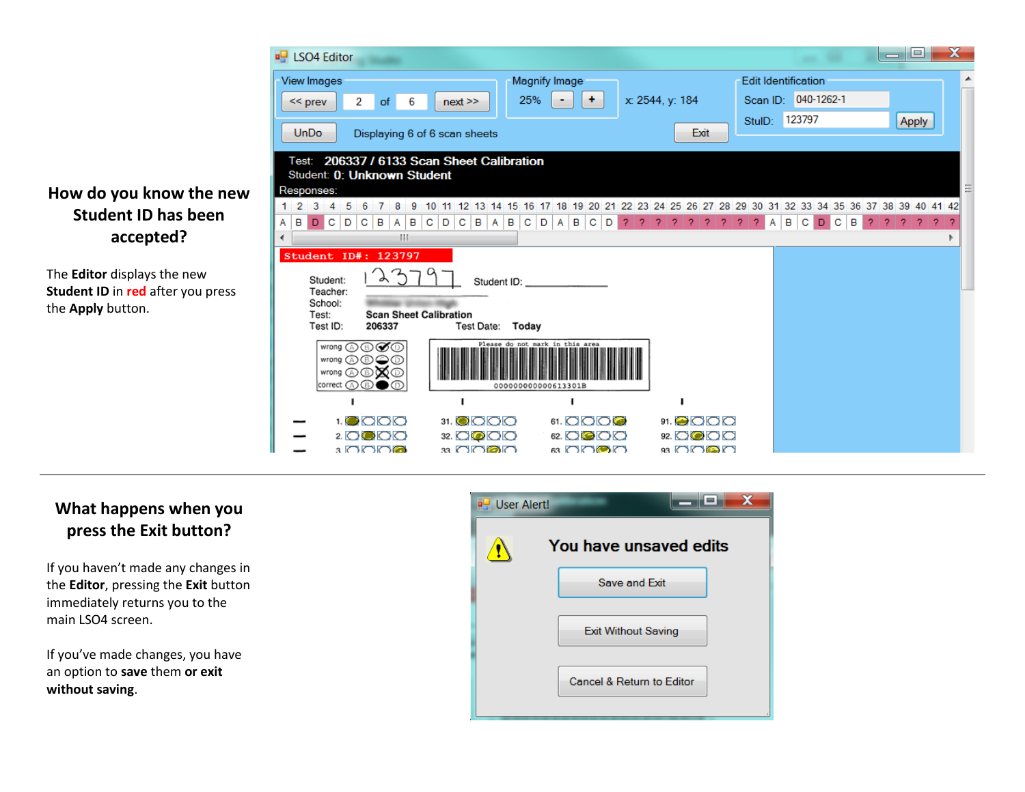

The **Editor** displays the new **Student ID** in **red** after you press the **Apply** button.

|        |   |             | <b>B</b> LSO4 Editor                                                             |   |   |                               |              |        |   |    |   |                     |              |   |                                                        |   |              |   |              |   |                                                                            |   |                 |                              |   |      |  |        |   |                            |        |   |   |    |    | $\equiv$ |    | e        | $\mathbf x$ |  |
|--------|---|-------------|----------------------------------------------------------------------------------|---|---|-------------------------------|--------------|--------|---|----|---|---------------------|--------------|---|--------------------------------------------------------|---|--------------|---|--------------|---|----------------------------------------------------------------------------|---|-----------------|------------------------------|---|------|--|--------|---|----------------------------|--------|---|---|----|----|----------|----|----------|-------------|--|
|        |   |             | <b>View Images</b>                                                               |   |   |                               |              |        |   |    |   |                     |              |   | <b>Magnify Image</b>                                   |   |              |   |              |   |                                                                            |   |                 |                              |   |      |  |        |   | <b>Edit Identification</b> |        |   |   |    |    |          |    |          |             |  |
|        |   | $<<$ prev   |                                                                                  |   | 2 | of                            |              | 6      |   |    |   | $next$ $>$          |              |   | 25%                                                    |   |              |   | ÷            |   |                                                                            |   | x: 2544, y: 184 |                              |   |      |  |        |   | Scan ID: 040-1262-1        |        |   |   |    |    |          |    |          |             |  |
|        |   |             |                                                                                  |   |   |                               |              |        |   |    |   |                     |              |   |                                                        |   |              |   |              |   |                                                                            |   |                 |                              |   |      |  | StulD: |   |                            | 123797 |   |   |    |    |          |    | Apply    |             |  |
|        |   | <b>UnDo</b> |                                                                                  |   |   | Displaying 6 of 6 scan sheets |              |        |   |    |   |                     |              |   |                                                        |   |              |   |              |   |                                                                            |   |                 |                              |   | Exit |  |        |   |                            |        |   |   |    |    |          |    |          |             |  |
|        |   |             | Test: 206337 / 6133 Scan Sheet Calibration<br>Student: 0: Unknown Student        |   |   |                               |              |        |   |    |   |                     |              |   |                                                        |   |              |   |              |   |                                                                            |   |                 |                              |   |      |  |        |   |                            |        |   |   |    |    |          |    |          |             |  |
|        |   |             | Responses:                                                                       |   |   |                               |              |        |   |    |   |                     |              |   |                                                        |   |              |   |              |   |                                                                            |   |                 |                              |   |      |  |        |   |                            |        |   |   |    |    |          |    |          |             |  |
|        | 2 |             |                                                                                  |   | 6 |                               |              |        |   | 10 |   |                     |              |   |                                                        |   |              |   |              |   | 11 12 13 14 15 16 17 18 19 20 21 22 23 24 25 26 27 28 29 30 31 32 33 34 35 |   |                 |                              |   |      |  |        |   |                            |        |   |   | 36 | 37 | 38       | 39 | 40 41 42 |             |  |
| A<br>∢ | в | D           | C.                                                                               | D | C | в                             | $\mathsf{A}$ | B<br>Ш | C |    | D | $C \parallel B$     | $\mathsf{A}$ | B | $\mathbf{C}$                                           | D | $\mathsf{A}$ | B | $\mathbf{C}$ | D | 2                                                                          | 2 | 2               |                              | 2 |      |  |        | Α | B                          | C      | D | C | в  | 2  |          |    | 2        |             |  |
|        |   |             | Student ID#: 123797                                                              |   |   |                               |              |        |   |    |   |                     |              |   |                                                        |   |              |   |              |   |                                                                            |   |                 |                              |   |      |  |        |   |                            |        |   |   |    |    |          |    |          |             |  |
|        |   |             | Student:<br>Teacher:<br>School:<br>Test:                                         |   |   | <b>Scan Sheet Calibration</b> | $\lambda$ }  |        |   |    |   |                     |              |   | Student ID:                                            |   |              |   |              |   |                                                                            |   |                 |                              |   |      |  |        |   |                            |        |   |   |    |    |          |    |          |             |  |
|        |   |             | Test ID:                                                                         |   |   | 206337                        |              |        |   |    |   | Test Date:          |              |   | Today                                                  |   |              |   |              |   |                                                                            |   |                 |                              |   |      |  |        |   |                            |        |   |   |    |    |          |    |          |             |  |
|        |   |             | wrong A <b>O</b><br>wrong A ® © ®<br>wrong ⓒⓒ <b>x</b> ⓒ<br>$ correct \oslash @$ |   |   |                               |              |        |   |    |   |                     |              |   | Please do not mark in this area<br>000000000000613301B |   |              |   |              |   |                                                                            |   |                 |                              |   |      |  |        |   |                            |        |   |   |    |    |          |    |          |             |  |
|        |   |             |                                                                                  |   |   |                               |              |        |   |    |   |                     |              |   |                                                        |   |              |   |              |   |                                                                            |   |                 |                              |   |      |  |        |   |                            |        |   |   |    |    |          |    |          |             |  |
|        |   |             |                                                                                  |   |   | <b>1.0000</b>                 |              |        |   |    |   | 31. ©OOO            |              |   |                                                        |   |              |   |              |   | 61. 0000                                                                   |   |                 | 91. <b>@</b> OOO             |   |      |  |        |   |                            |        |   |   |    |    |          |    |          |             |  |
|        |   |             |                                                                                  |   |   | 2.0000<br>3 OOOG              |              |        |   |    |   | 32. OC O<br>33 OG@O |              |   |                                                        |   |              |   |              |   | 62. 0000<br>െ റെരൈ                                                         |   |                 | 92. 0000<br>93 നര <b>ത</b> ന |   |      |  |        |   |                            |        |   |   |    |    |          |    |          |             |  |
|        |   |             |                                                                                  |   |   |                               |              |        |   |    |   |                     |              |   |                                                        |   |              |   |              |   |                                                                            |   |                 |                              |   |      |  |        |   |                            |        |   |   |    |    |          |    |          |             |  |

## **What happens when you press the Exit button?**

If you haven't made any changes in the **Editor**, pressing the **Exit** button immediately returns you to the main LSO4 screen.

If you've made changes, you have an option to **save** them **or exit without saving**.

| <b>D</b> User Alert! |                            |
|----------------------|----------------------------|
|                      | You have unsaved edits     |
|                      | Save and Exit              |
|                      | <b>Exit Without Saving</b> |
|                      | Cancel & Return to Editor  |